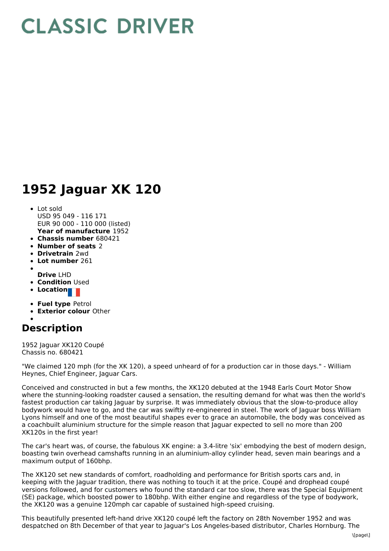## **CLASSIC DRIVER**

## **1952 Jaguar XK 120**

- **Year of manufacture** 1952 • Lot sold USD 95 049 - 116 171 EUR 90 000 - 110 000 (listed)
- **Chassis number** 680421
- **Number of seats** 2
- **Drivetrain** 2wd
- **Lot number** 261
- 
- **Drive** LHD
- **Condition Used**
- Location
- **Fuel type** Petrol
- **Exterior colour** Other

## **Description**

1952 Jaguar XK120 Coupé Chassis no. 680421

"We claimed 120 mph (for the XK 120), a speed unheard of for a production car in those days." - William Heynes, Chief Engineer, Jaguar Cars.

Conceived and constructed in but a few months, the XK120 debuted at the 1948 Earls Court Motor Show where the stunning-looking roadster caused a sensation, the resulting demand for what was then the world's fastest production car taking Jaguar by surprise. It was immediately obvious that the slow-to-produce alloy bodywork would have to go, and the car was swiftly re-engineered in steel. The work of Jaguar boss William Lyons himself and one of the most beautiful shapes ever to grace an automobile, the body was conceived as a coachbuilt aluminium structure for the simple reason that Jaguar expected to sell no more than 200 XK120s in the first year!

The car's heart was, of course, the fabulous XK engine: a 3.4-litre 'six' embodying the best of modern design, boasting twin overhead camshafts running in an aluminium-alloy cylinder head, seven main bearings and a maximum output of 160bhp.

The XK120 set new standards of comfort, roadholding and performance for British sports cars and, in keeping with the Jaguar tradition, there was nothing to touch it at the price. Coupé and drophead coupé versions followed, and for customers who found the standard car too slow, there was the Special Equipment (SE) package, which boosted power to 180bhp. With either engine and regardless of the type of bodywork, the XK120 was a genuine 120mph car capable of sustained high-speed cruising.

This beautifully presented left-hand drive XK120 coupé left the factory on 28th November 1952 and was despatched on 8th December of that year to Jaguar's Los Angeles-based distributor, Charles Hornburg. The